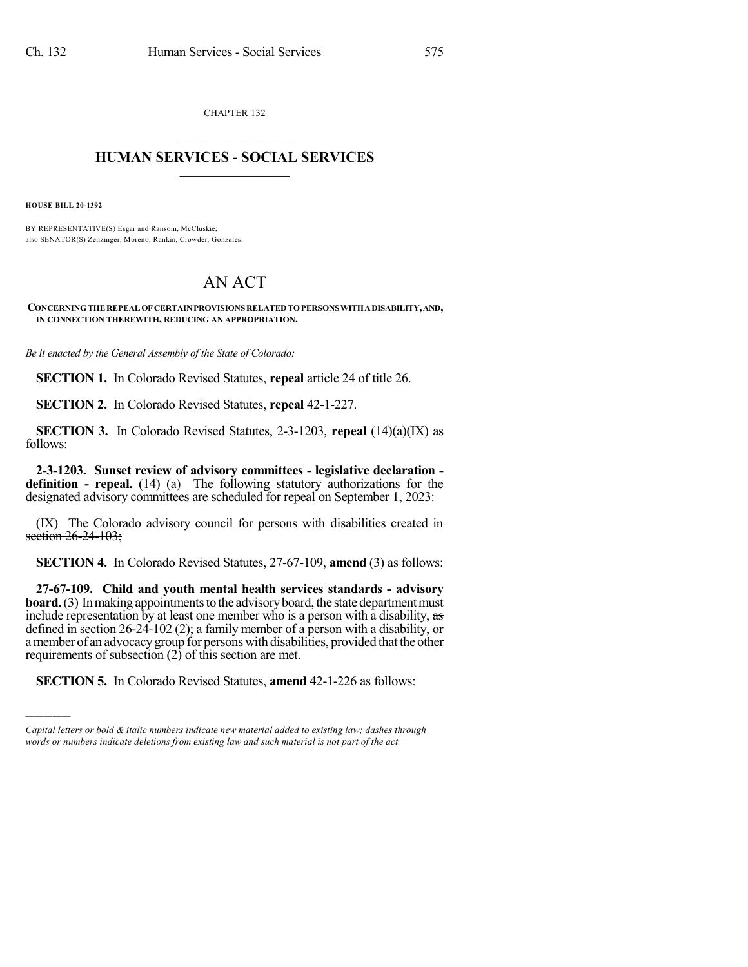CHAPTER 132  $\overline{\phantom{a}}$  . The set of the set of the set of the set of the set of the set of the set of the set of the set of the set of the set of the set of the set of the set of the set of the set of the set of the set of the set o

## **HUMAN SERVICES - SOCIAL SERVICES**  $\frac{1}{2}$  ,  $\frac{1}{2}$  ,  $\frac{1}{2}$  ,  $\frac{1}{2}$  ,  $\frac{1}{2}$  ,  $\frac{1}{2}$  ,  $\frac{1}{2}$

**HOUSE BILL 20-1392**

)))))

BY REPRESENTATIVE(S) Esgar and Ransom, McCluskie; also SENATOR(S) Zenzinger, Moreno, Rankin, Crowder, Gonzales.

## AN ACT

**CONCERNINGTHEREPEALOFCERTAINPROVISIONS RELATEDTOPERSONSWITHADISABILITY,AND, IN CONNECTION THEREWITH, REDUCING AN APPROPRIATION.**

*Be it enacted by the General Assembly of the State of Colorado:*

**SECTION 1.** In Colorado Revised Statutes, **repeal** article 24 of title 26.

**SECTION 2.** In Colorado Revised Statutes, **repeal** 42-1-227.

**SECTION 3.** In Colorado Revised Statutes, 2-3-1203, **repeal** (14)(a)(IX) as follows:

**2-3-1203. Sunset review of advisory committees - legislative declaration definition - repeal.** (14) (a) The following statutory authorizations for the designated advisory committees are scheduled for repeal on September 1, 2023:

(IX) The Colorado advisory council for persons with disabilities created in section 26-24-103;

**SECTION 4.** In Colorado Revised Statutes, 27-67-109, **amend** (3) as follows:

**27-67-109. Child and youth mental health services standards - advisory board.** (3) In making appointments to the advisory board, the state department must include representation by at least one member who is a person with a disability, as defined in section  $26-24-102(2)$ ; a family member of a person with a disability, or amember of an advocacygroup for persons with disabilities, provided thatthe other requirements of subsection  $(2)$  of this section are met.

**SECTION 5.** In Colorado Revised Statutes, **amend** 42-1-226 as follows:

*Capital letters or bold & italic numbers indicate new material added to existing law; dashes through words or numbers indicate deletions from existing law and such material is not part of the act.*